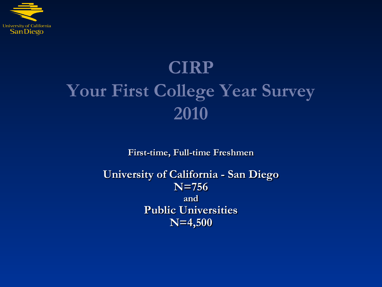

# **CIRP Your First College Year Survey 2010**

**First-time, Full-time Freshmen**

**University of California - San Diego N=756 and Public Universities N=4,500**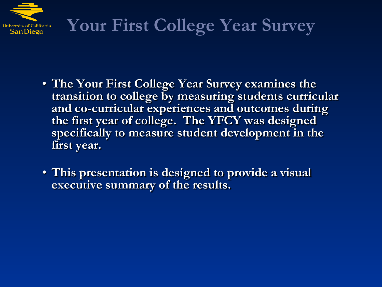

# **Your First College Year Survey**

- **The Your First College Year Survey examines the transition to college by measuring students curricular and co-curricular experiences and outcomes during the first year of college. The YFCY was designed specifically to measure student development in the first year.**
- **This presentation is designed to provide a visual executive summary of the results.**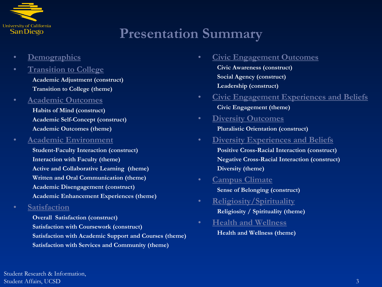

# **Presentation Summary**

- **[Demographics](#page-3-0)**
- **[Transition to College](#page-13-0) Academic Adjustment (construct) Transition to College (theme)**
- **[Academic Outcomes](#page-20-0)**
	- **Habits of Mind (construct) Academic Self-Concept (construct) Academic Outcomes (theme)**
- **[Academic Environment](#page-28-0)**
	- **Student-Faculty Interaction (construct) Interaction with Faculty (theme) Active and Collaborative Learning (theme) Written and Oral Communication (theme) Academic Disengagement (construct) Academic Enhancement Experiences (theme)**
- **[Satisfaction](#page-45-0)**
	- **Overall Satisfaction (construct) Satisfaction with Coursework (construct) Satisfaction with Academic Support and Courses (theme) Satisfaction with Services and Community (theme)**
- **[Civic Engagement Outcomes](#page-56-0)**
	- **Civic Awareness (construct) Social Agency (construct) Leadership (construct)**
- **[Civic Engagement Experiences and Beliefs](#page-63-0) Civic Engagement (theme)**
- **[Diversity Outcomes](#page-67-0) Pluralistic Orientation (construct)**
- **[Diversity Experiences and Beliefs](#page-70-0) Positive Cross-Racial Interaction (construct) Negative Cross-Racial Interaction (construct) Diversity (theme)**
- **[Campus Climate](#page-79-0)**

**Sense of Belonging (construct)**

- **[Religiosity/Spirituality](#page-84-0) Religiosity / Spirituality (theme)**
- **[Health and Wellness](#page-87-0) Health and Wellness (theme)**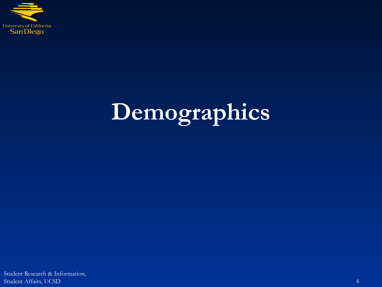<span id="page-3-0"></span>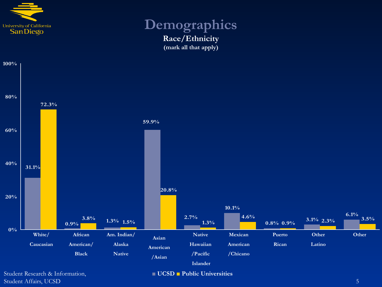

### **Demographics Race/Ethnicity (mark all that apply)**



Student Research & Information, Student Affairs, UCSD 55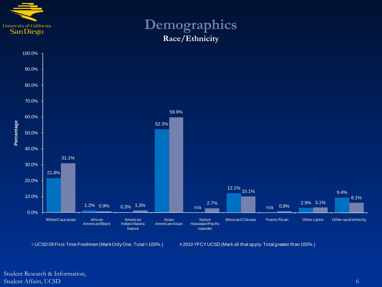

## **Demographics Race/Ethnicity**



UCSD 09 First-Time Freshmen (Mark Only One. Total = 100%.) 2010 YFCY UCSD (Mark all that apply. Total greater than 100%.)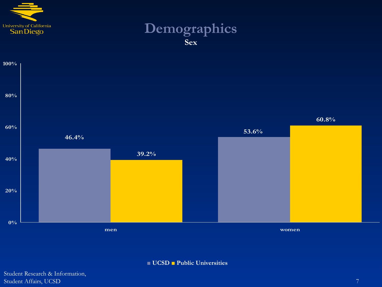

## **Demographics Sex**



**■ UCSD ■ Public Universities**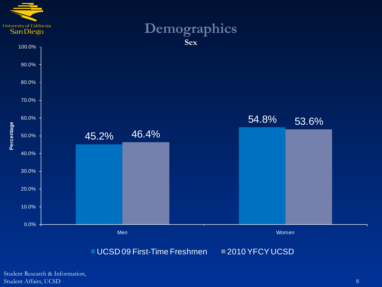

Student Research & Information, Student Affairs, UCSD 888 (89) 888 (89) 888 (89) 888 (89) 888 (89) 888 (89) 888 (89) 888 (89) 888 (89) 888 (89) 888 (89) 888 (89) 888 (89) 888 (89) 888 (89) 888 (89) 888 (89) 888 (89) 888 (89) 888 (89) 888 (89) 888 (89) 88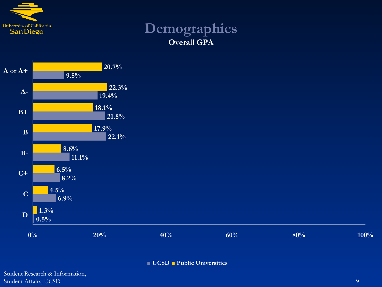

## **Demographics Overall GPA**



**■ UCSD ■ Public Universities**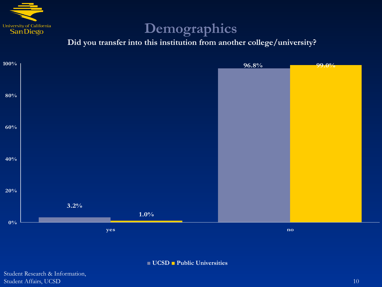

**Did you transfer into this institution from another college/university?**



**■ UCSD ■ Public Universities**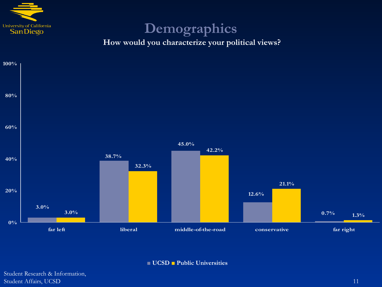

**How would you characterize your political views?**



**■ UCSD ■ Public Universities**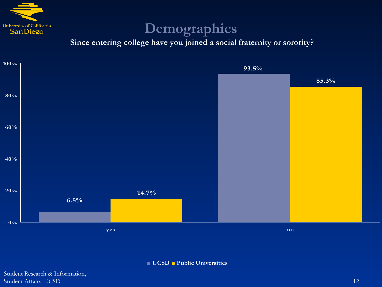

**Since entering college have you joined a social fraternity or sorority?**



**■ UCSD ■ Public Universities**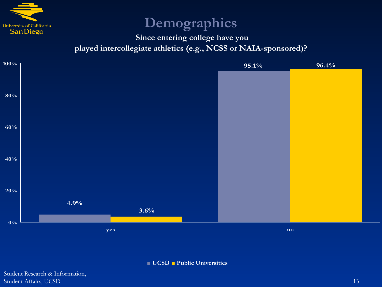

### **Since entering college have you played intercollegiate athletics (e.g., NCSS or NAIA-sponsored)?**



**■ UCSD ■ Public Universities**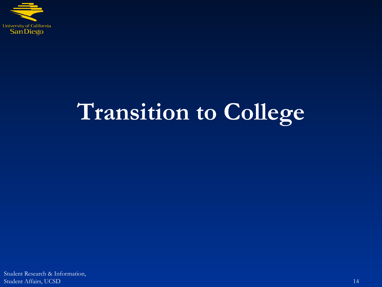<span id="page-13-0"></span>

# **Transition to College**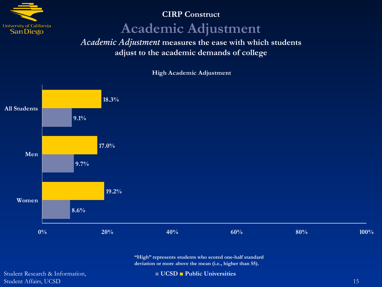

# **CIRP Construct Academic Adjustment**

*Academic Adjustment* **measures the ease with which students adjust to the academic demands of college**

**High Academic Adjustment**



**"High" represents students who scored one-half standard deviation or more above the mean (i.e., higher than 55).**

Student Research & Information, Student Affairs, UCSD 15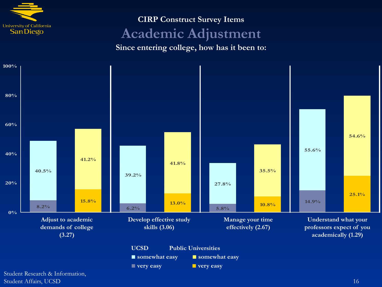

## **CIRP Construct Survey Items Academic Adjustment Since entering college, how has it been to:**

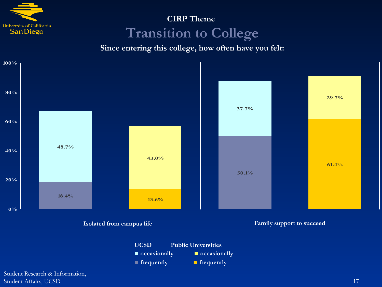

# **CIRP Theme Transition to College**

**Since entering this college, how often have you felt:**



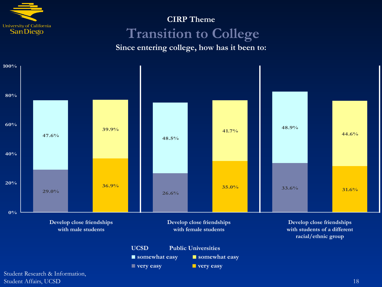

# **CIRP Theme Transition to College**

**Since entering college, how has it been to:**

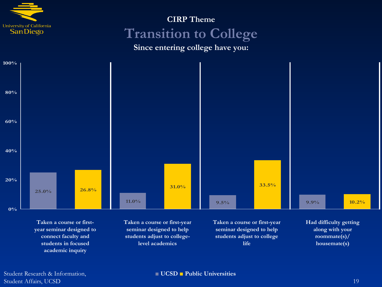

# **CIRP Theme Transition to College**

**Since entering college have you:**



**Taken a course or firstyear seminar designed to connect faculty and students in focused academic inquiry**

**Taken a course or first-year seminar designed to help students adjust to collegelevel academics**

**Taken a course or first-year seminar designed to help students adjust to college life**

**Had difficulty getting along with your roommate(s)/ housemate(s)**

Student Research & Information, Student Affairs, UCSD 19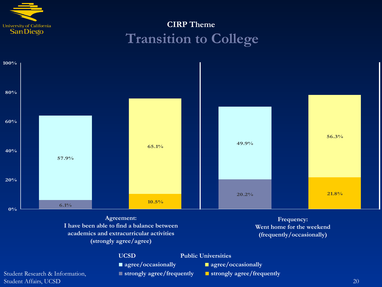

# **CIRP Theme Transition to College**



**Agreement: I have been able to find a balance between academics and extracurricular activities (strongly agree/agree)**

**Frequency: Went home for the weekend (frequently/occasionally)**

**UCSD Public Universities**

- **■ agree/occasionally ■ agree/occasionally**
- **■ strongly agree/frequently ■ strongly agree/frequently**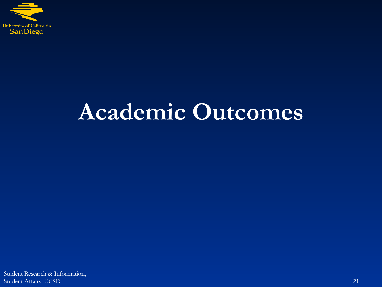<span id="page-20-0"></span>

# **Academic Outcomes**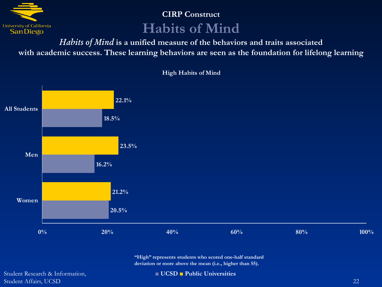

## **CIRP Construct Habits of Mind**

*Habits of Mind* **is a unified measure of the behaviors and traits associated with academic success. These learning behaviors are seen as the foundation for lifelong learning**



**High Habits of Mind**

**"High" represents students who scored one-half standard deviation or more above the mean (i.e., higher than 55).**

Student Research & Information, Student Affairs, UCSD 22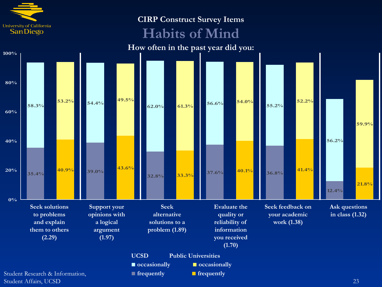

#### **CIRP Construct Survey Items**

# **Habits of Mind**

**How often in the past year did you:**

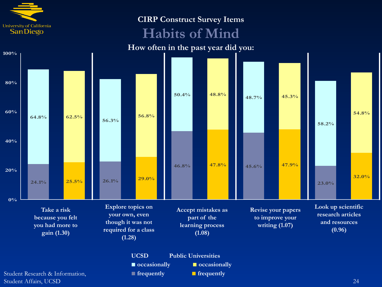

#### **CIRP Construct Survey Items**

# **Habits of Mind**



■ **occasionally** ■ **■ occasionally ■ frequently ■ frequently**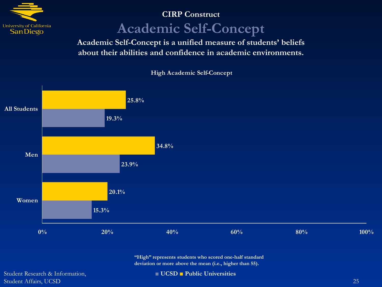

# **CIRP Construct Academic Self-Concept**

**Academic Self-Concept is a unified measure of students' beliefs about their abilities and confidence in academic environments.**



**High Academic Self-Concept**

**"High" represents students who scored one-half standard deviation or more above the mean (i.e., higher than 55).**

Student Research & Information, Student Affairs, UCSD 25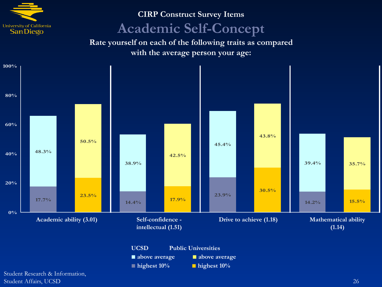

# **CIRP Construct Survey Items Academic Self-Concept**

**Rate yourself on each of the following traits as compared with the average person your age:**



**■ highest 10% ■ highest 10%**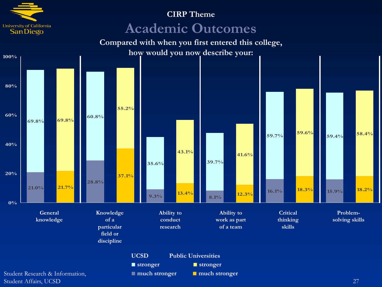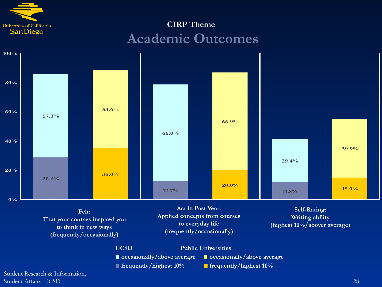

# **CIRP Theme Academic Outcomes**



**Felt: That your courses inspired you to think in new ways (frequently/occasionally)**

**Act in Past Year: Applied concepts from courses to everyday life (frequently/occasionally)**

**Self-Rating: Writing ability (highest 10%/abover average)**

**UCSD Public Universities**

**■ occasionally/above average ■ occasionally/above average**

**■ frequently/highest 10% ■ frequently/highest 10%**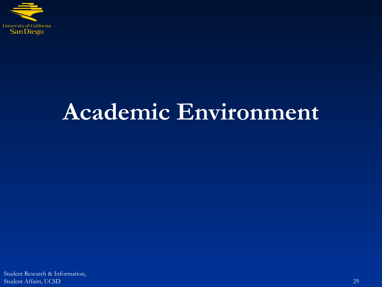<span id="page-28-0"></span>

# **Academic Environment**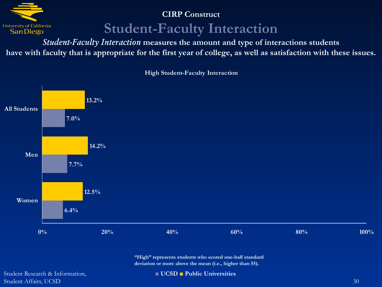

#### **CIRP Construct**

# **Student-Faculty Interaction**

*Student-Faculty Interaction* **measures the amount and type of interactions students have with faculty that is appropriate for the first year of college, as well as satisfaction with these issues.**



**High Student-Faculty Interaction**

**"High" represents students who scored one-half standard deviation or more above the mean (i.e., higher than 55).**

Student Research & Information, Student Affairs, UCSD 30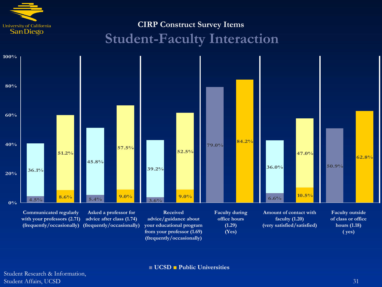

# **CIRP Construct Survey Items Student-Faculty Interaction**

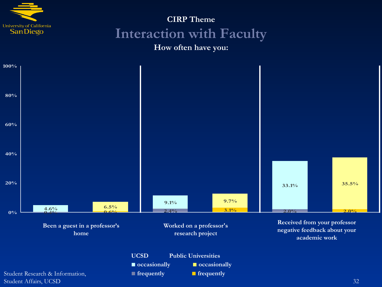

# **CIRP Theme Interaction with Faculty**

#### **How often have you:**

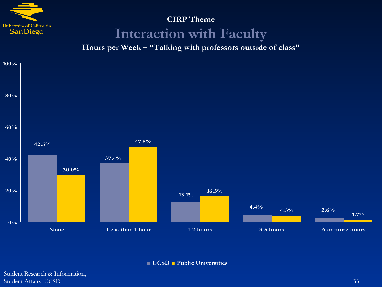

# **CIRP Theme Interaction with Faculty**

**Hours per Week – "Talking with professors outside of class"**



**■ UCSD ■ Public Universities**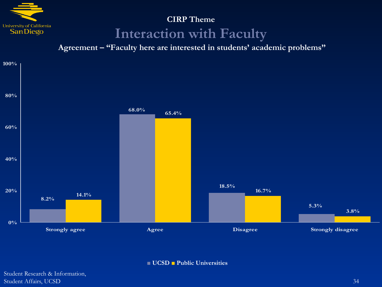

# **CIRP Theme Interaction with Faculty**

**Agreement – "Faculty here are interested in students' academic problems"**



**■ UCSD ■ Public Universities**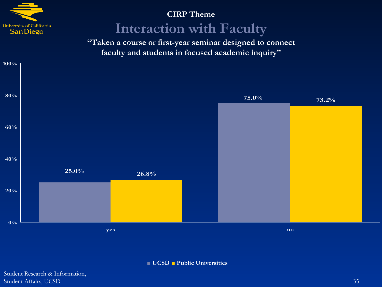

**100%**

## **CIRP Theme Interaction with Faculty**

**"Taken a course or first-year seminar designed to connect faculty and students in focused academic inquiry"**



**■ UCSD ■ Public Universities**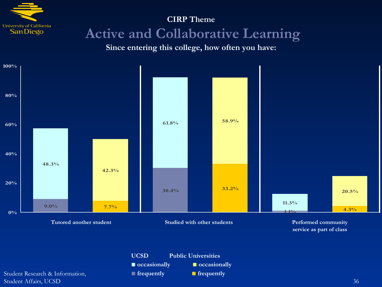

# **CIRP Theme Active and Collaborative Learning**

**Since entering this college, how often you have:**

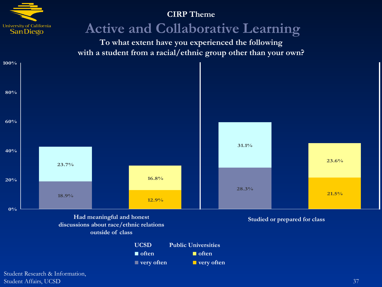

### **Active and Collaborative Learning**

**To what extent have you experienced the following with a student from a racial/ethnic group other than your own?**



**outside of class**

**UCSD Public Universities** ■ **often ■ often** ■ **very often** ■ **very often**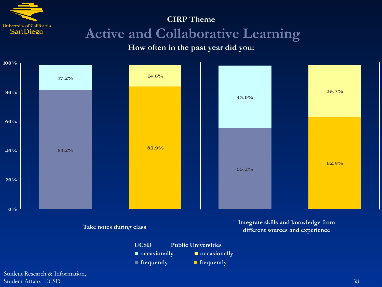

### **CIRP Theme Active and Collaborative Learning**

### **How often in the past year did you:**



■ **frequently** ■ **Frequently**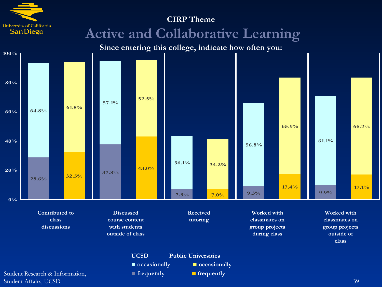

Student Affairs, UCSD 39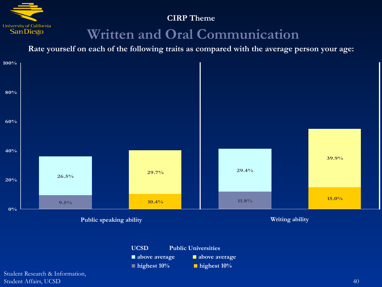

### **Written and Oral Communication**

**Rate yourself on each of the following traits as compared with the average person your age:**



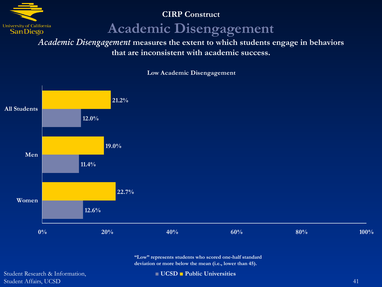

**CIRP Construct**

### **Academic Disengagement**

*Academic Disengagement* **measures the extent to which students engage in behaviors that are inconsistent with academic success.**

**12.6% 11.4% 12.0% 22.7% 19.0% 21.2% Women Men All Students**

#### **Low Academic Disengagement**

**"Low" represents students who scored one-half standard deviation or more below the mean (i.e., lower than 45).**

**0% 20% 40% 60% 80% 100%**

Student Research & Information, Student Affairs, UCSD 41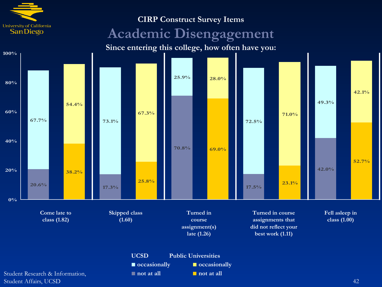

#### **CIRP Construct Survey Items**

### **Academic Disengagement**

**Since entering this college, how often have you:**

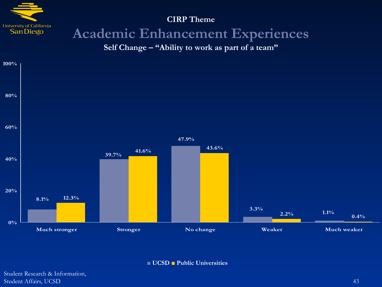

### **CIRP Theme Academic Enhancement Experiences**

**Self Change – "Ability to work as part of a team"**



**■ UCSD ■ Public Universities**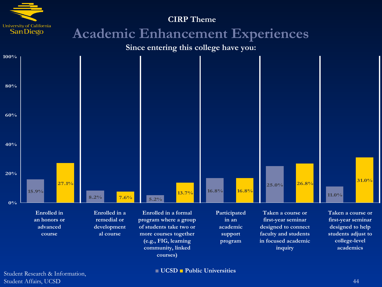

Student Research & Information, Student Affairs, UCSD 44

#### **■ UCSD ■ Public Universities**

**community, linked courses)**

**academics**

**inquiry**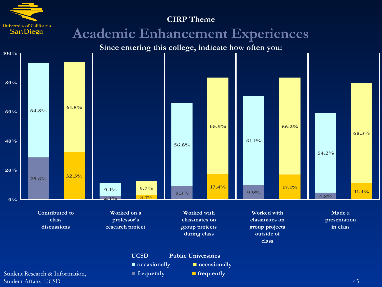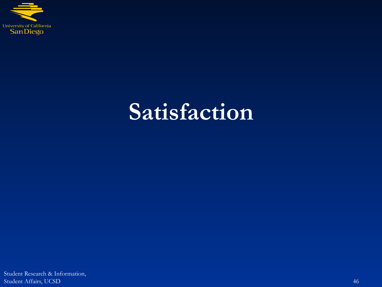

## **Satisfaction**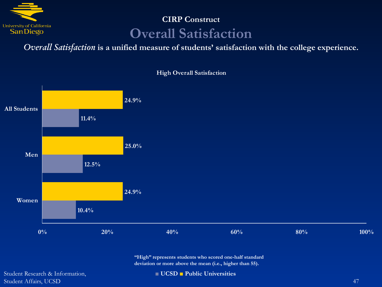

### **CIRP Construct Overall Satisfaction**

*Overall Satisfaction* **is a unified measure of students' satisfaction with the college experience.**



**High Overall Satisfaction**

**"High" represents students who scored one-half standard deviation or more above the mean (i.e., higher than 55).**

Student Research & Information, Student Affairs, UCSD 47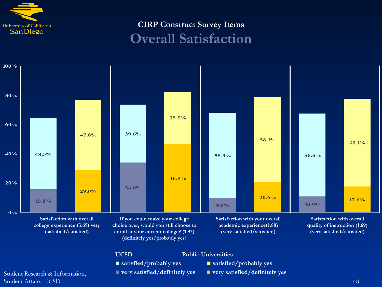

### **CIRP Construct Survey Items Overall Satisfaction**

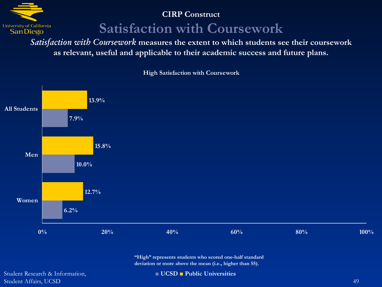

**CIRP Construct**

**Satisfaction with Coursework**

*Satisfaction with Coursework* **measures the extent to which students see their coursework as relevant, useful and applicable to their academic success and future plans.**



**High Satisfaction with Coursework**

**"High" represents students who scored one-half standard deviation or more above the mean (i.e., higher than 55).**

Student Research & Information, Student Affairs, UCSD 49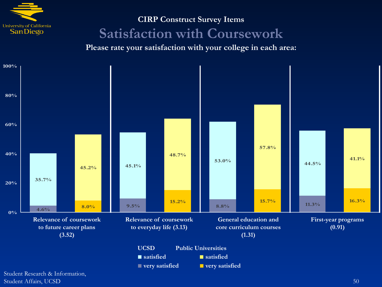

### **CIRP Construct Survey Items Satisfaction with Coursework**

**Please rate your satisfaction with your college in each area:**



Student Affairs, UCSD 50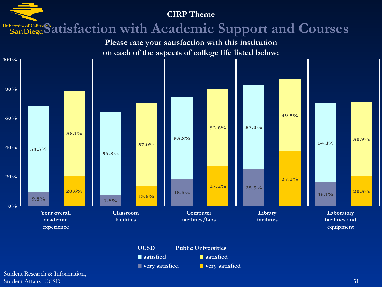### University of Califor<sup>®</sup> at isfaction with Academic Support and Courses





Student Research & Information, Student Affairs, UCSD 51 and 1992 and 1993 and 1993 and 1993 and 1993 and 1993 and 1993 and 1993 and 1993 and 1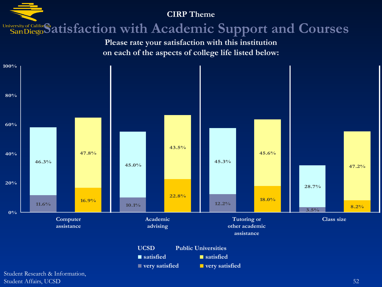### University of Califor<sup>®</sup> at isfaction with Academic Support and Courses

**Please rate your satisfaction with this institution on each of the aspects of college life listed below:**



Student Affairs, UCSD 52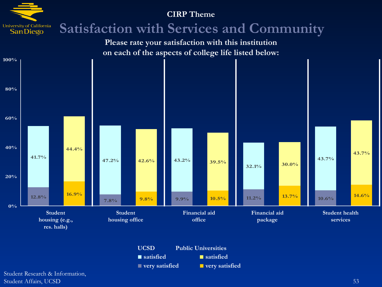

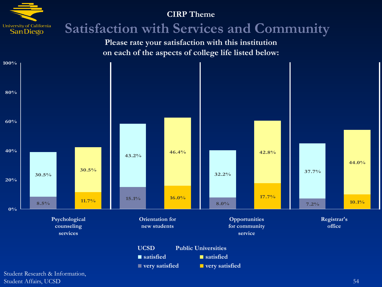

## **Satisfaction with Services and Community**

**Please rate your satisfaction with this institution on each of the aspects of college life listed below:**



Student Affairs, UCSD 54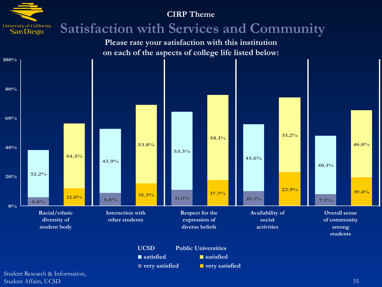

**UCSD Public Universities ■ satisfied ■ satisfied** ■ **very satisfied** ■ **■ very satisfied**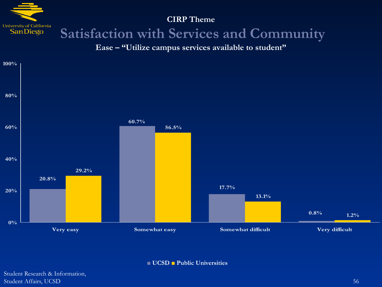

## **Satisfaction with Services and Community**

**Ease – "Utilize campus services available to student"**



**■ UCSD ■ Public Universities**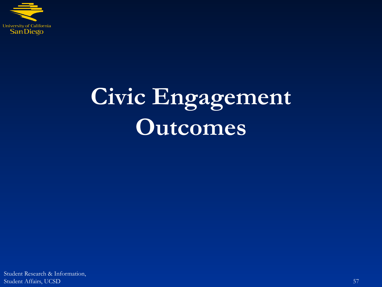

## **Civic Engagement Outcomes**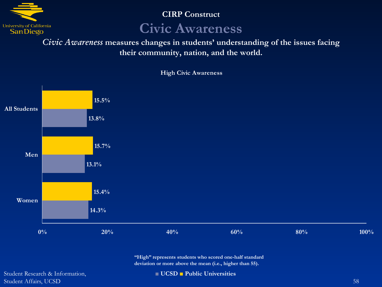

### **CIRP Construct**

### **Civic Awareness**

*Civic Awareness* **measures changes in students' understanding of the issues facing their community, nation, and the world.**



**High Civic Awareness**

**"High" represents students who scored one-half standard deviation or more above the mean (i.e., higher than 55).**

Student Research & Information, Student Affairs, UCSD 58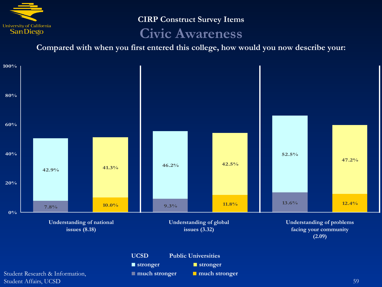

**CIRP Construct Survey Items Civic Awareness**

**Compared with when you first entered this college, how would you now describe your:**

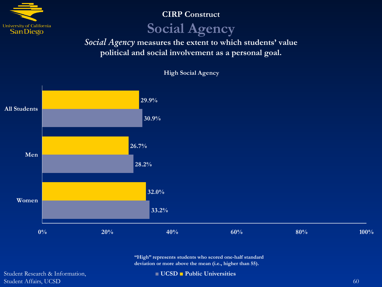

**CIRP Construct**

### **Social Agency**

*Social Agency* **measures the extent to which students' value political and social involvement as a personal goal.**



**High Social Agency**

**"High" represents students who scored one-half standard deviation or more above the mean (i.e., higher than 55).**

Student Research & Information, Student Affairs, UCSD 600 and the contract of the contract of the contract of the contract of the contract of the contract of the contract of the contract of the contract of the contract of the contract of the contract of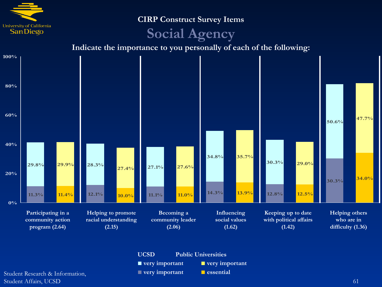

**CIRP Construct Survey Items**

### **Social Agency**

**Indicate the importance to you personally of each of the following:**



**UCSD Public Universities ■ very important ■ very important ■ very important ■ essential**

Student Research & Information, Student Affairs, UCSD 61 (61) 61 (61) 61 (61) 61 (61) 61 (61) 61 (61) 61 (61) 61 (61) 61 (61) 61 (61) 61 (61) 61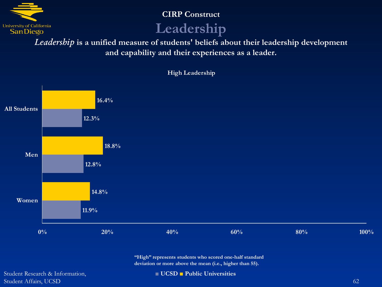

**CIRP Construct**

### **Leadership**

*Leadership* **is a unified measure of students' beliefs about their leadership development and capability and their experiences as a leader.**



**High Leadership**

**"High" represents students who scored one-half standard deviation or more above the mean (i.e., higher than 55).**

Student Research & Information, Student Affairs, UCSD 62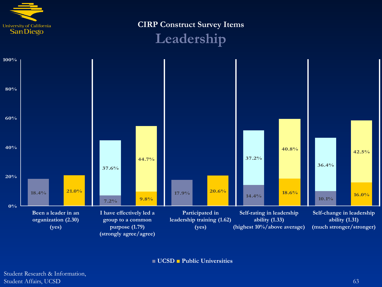

**CIRP Construct Survey Items**





**■ UCSD ■ Public Universities**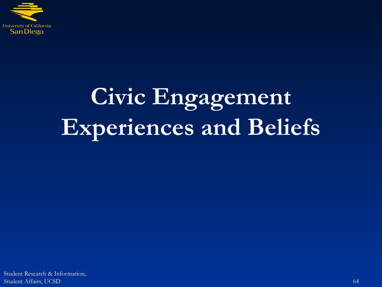

# **Civic Engagement Experiences and Beliefs**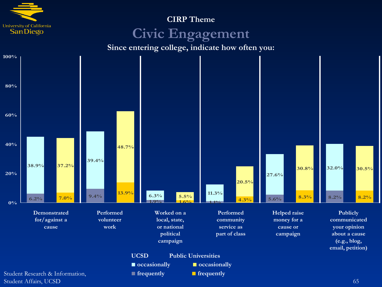

### **CIRP Theme Civic Engagement**

**Since entering college, indicate how often you:**

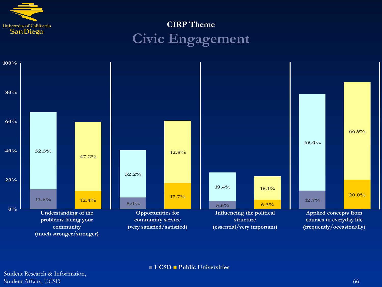

### **CIRP Theme Civic Engagement**

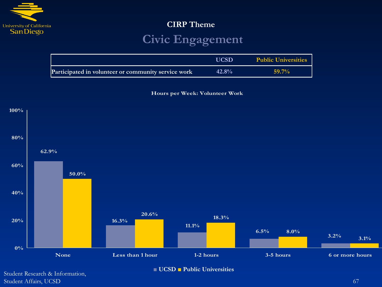

### **Civic Engagement**

|                                                     | <b>UCSD</b> | <b>Public Universities</b> |
|-----------------------------------------------------|-------------|----------------------------|
| Participated in volunteer or community service work | $42.8\%$    | $59.7\%$                   |

**Hours per Week: Volunteer Work**

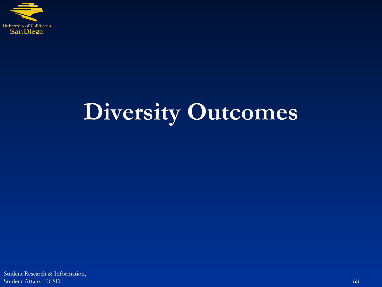

## **Diversity Outcomes**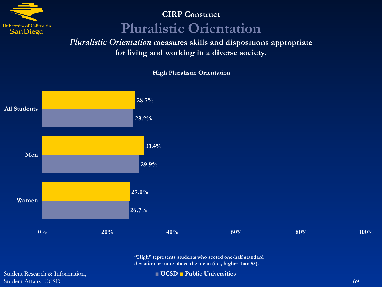

### **CIRP Construct Pluralistic Orientation**

*Pluralistic Orientation* **measures skills and dispositions appropriate for living and working in a diverse society.**



**High Pluralistic Orientation**

**"High" represents students who scored one-half standard deviation or more above the mean (i.e., higher than 55).**

Student Research & Information, Student Affairs, UCSD 69 (69) 2012 12:30 12:30 12:30 12:30 12:30 12:30 12:30 12:30 12:30 12:30 12:30 12:30 12:30 12:30 12:30 12:30 12:30 12:30 12:30 12:30 12:30 12:30 12:30 12:30 12:30 12:30 12:30 12:30 12:30 12:30 12:30 1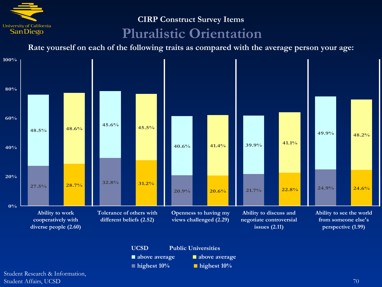

## **CIRP Construct Survey Items**

## **Pluralistic Orientation**

**Rate yourself on each of the following traits as compared with the average person your age:**



**■ above average ■ above average ■ highest 10% ■ highest 10%**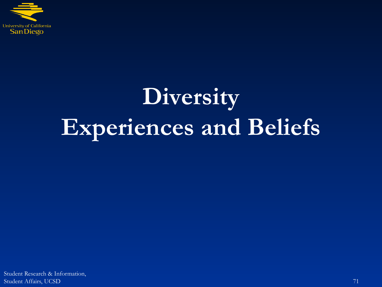

# **Diversity Experiences and Beliefs**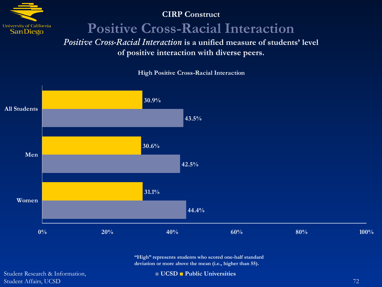

#### **CIRP Construct**

### **Positive Cross-Racial Interaction**

*Positive Cross-Racial Interaction* **is a unified measure of students' level of positive interaction with diverse peers.**



**High Positive Cross-Racial Interaction**

**44.4% 0% 20% 40% 60% 80% 100% Women**

> **"High" represents students who scored one-half standard deviation or more above the mean (i.e., higher than 55).**

Student Research & Information, Student Affairs, UCSD 72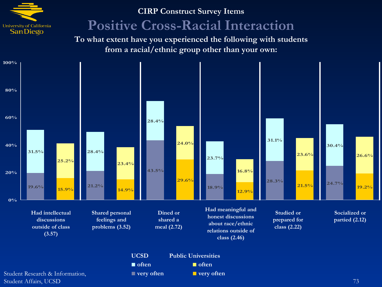

### **CIRP Construct Survey Items Positive Cross-Racial Interaction**

**To what extent have you experienced the following with students from a racial/ethnic group other than your own:**

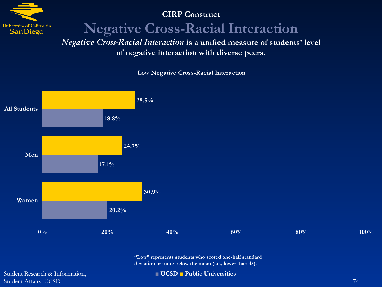

#### **CIRP Construct**

**Negative Cross-Racial Interaction**

*Negative Cross-Racial Interaction* **is a unified measure of students' level of negative interaction with diverse peers.**



**Low Negative Cross-Racial Interaction**

**"Low" represents students who scored one-half standard deviation or more below the mean (i.e., lower than 45).**

Student Research & Information, Student Affairs, UCSD 74

**■ UCSD ■ Public Universities**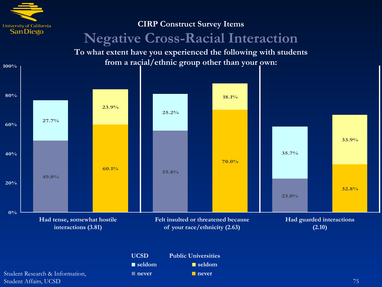

**100%**

## **CIRP Construct Survey Items Negative Cross-Racial Interaction**

**To what extent have you experienced the following with students from a racial/ethnic group other than your own:**

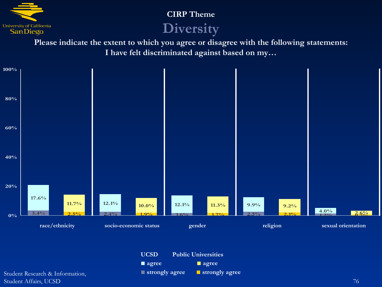

### **CIRP Theme**

### **Diversity**

**Please indicate the extent to which you agree or disagree with the following statements: I have felt discriminated against based on my…**



| <b>UCSD</b>                   | <b>Public Universities</b> |                       |  |
|-------------------------------|----------------------------|-----------------------|--|
| $\blacksquare$ agree          |                            | $\blacksquare$ agree  |  |
| $\blacksquare$ strongly agree |                            | <b>Strongly agree</b> |  |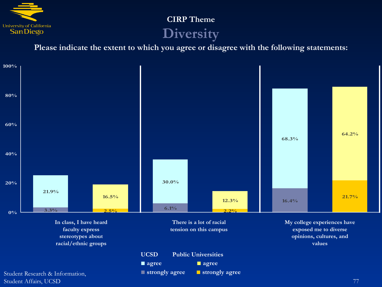

### **CIRP Theme Diversity**

**Please indicate the extent to which you agree or disagree with the following statements:**

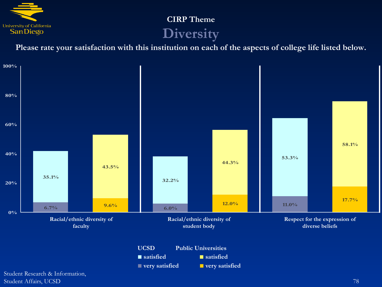

### **CIRP Theme Diversity**

**Please rate your satisfaction with this institution on each of the aspects of college life listed below.**

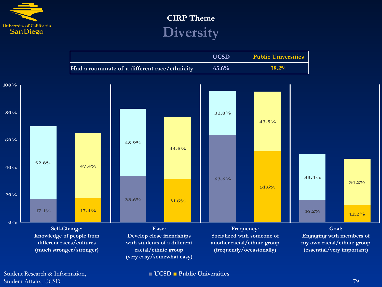

### **CIRP Theme Diversity**

|                                              | <b>UCSD</b> | <b>Public Universities</b> |
|----------------------------------------------|-------------|----------------------------|
| Had a roommate of a different race/ethnicity | $65.6\%$    | $38.2\%$                   |



Student Research & Information, Student Affairs, UCSD 79

**■ UCSD ■ Public Universities**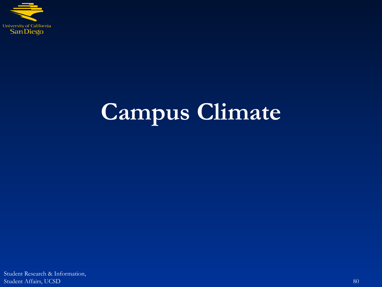

# **Campus Climate**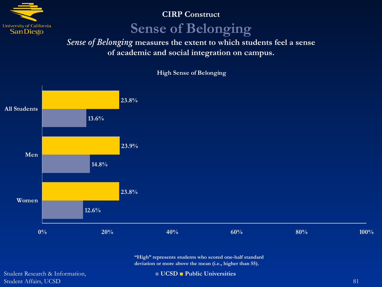

### **CIRP Construct**

### **Sense of Belonging**

*Sense of Belonging* **measures the extent to which students feel a sense of academic and social integration on campus.**



#### **High Sense of Belonging**

**"High" represents students who scored one-half standard deviation or more above the mean (i.e., higher than 55).**

Student Research & Information, Student Affairs, UCSD 81

**■ UCSD ■ Public Universities**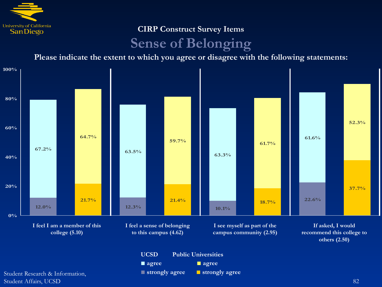

### **CIRP Construct Survey Items Sense of Belonging**

**Please indicate the extent to which you agree or disagree with the following statements:**

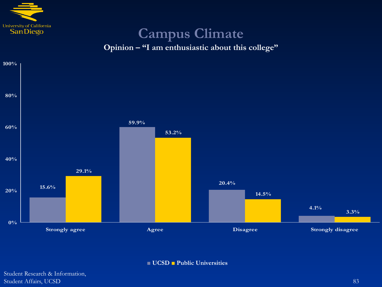

## **Campus Climate**





**■ UCSD ■ Public Universities**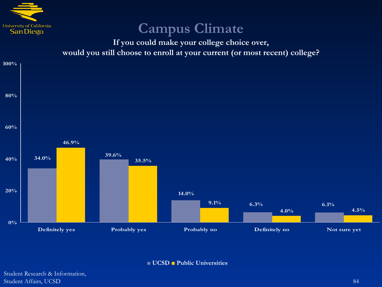

## **Campus Climate**

**If you could make your college choice over, would you still choose to enroll at your current (or most recent) college?**



**■ UCSD ■ Public Universities**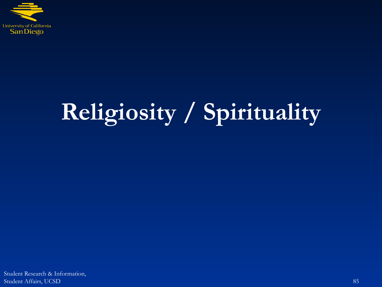

# **Religiosity / Spirituality**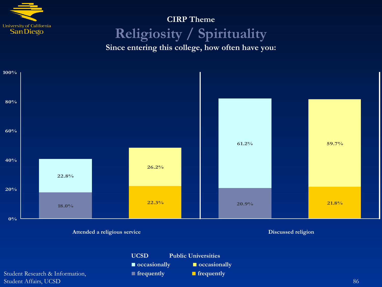

## **CIRP Theme Religiosity / Spirituality**

**Since entering this college, how often have you:**



**UCSD Public Universities**

**■ occasionally ■ occasionally**

**■ frequently ■ frequently**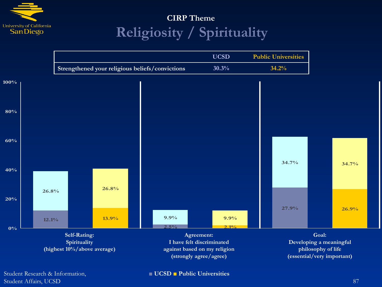

### **CIRP Theme Religiosity / Spirituality**



Student Research & Information, Student Affairs, UCSD 87

**■ UCSD ■ Public Universities**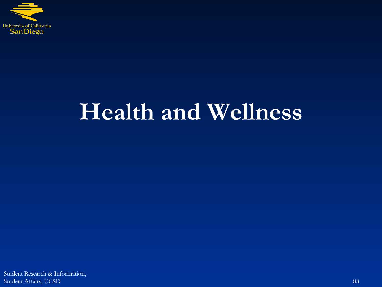

# **Health and Wellness**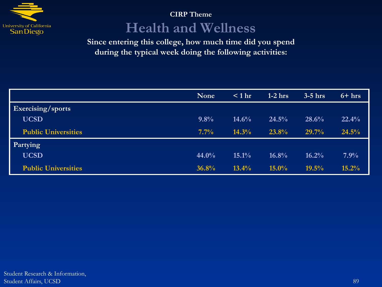

### **CIRP Theme Health and Wellness**

**Since entering this college, how much time did you spend during the typical week doing the following activities:**

|                            | <b>None</b> | $< 1$ hr | $1-2$ hrs | $3-5$ hrs | $6 + hrs$ |
|----------------------------|-------------|----------|-----------|-----------|-----------|
| <b>Exercising/sports</b>   |             |          |           |           |           |
| <b>UCSD</b>                | 9.8%        | 14.6%    | 24.5%     | 28.6%     | 22.4%     |
| <b>Public Universities</b> | $7.7\%$     | 14.3%    | 23.8%     | 29.7%     | 24.5%     |
| Partying                   |             |          |           |           |           |
| <b>UCSD</b>                | 44.0%       | $15.1\%$ | 16.8%     | 16.2%     | $7.9\%$   |
| <b>Public Universities</b> | 36.8%       | $13.4\%$ | $15.0\%$  | 19.5%     | 15.2%     |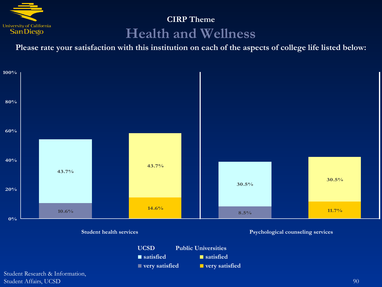

### **CIRP Theme Health and Wellness**

**Please rate your satisfaction with this institution on each of the aspects of college life listed below:**

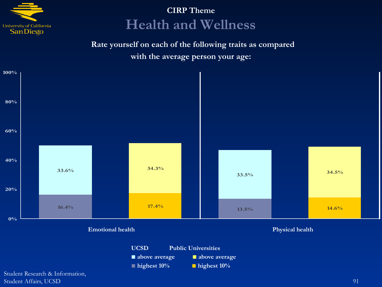

### **CIRP Theme Health and Wellness**

**Rate yourself on each of the following traits as compared with the average person your age:**

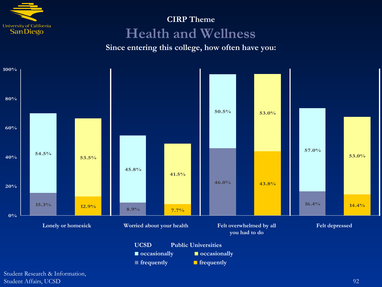

### **CIRP Theme Health and Wellness**

**Since entering this college, how often have you:**

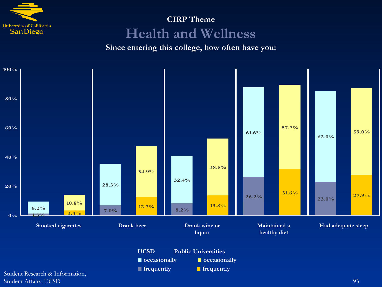

### **CIRP Theme Health and Wellness**

#### **Since entering this college, how often have you:**

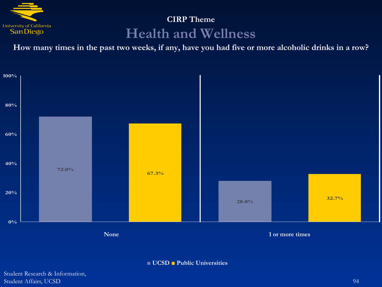

### **CIRP Theme Health and Wellness**

**How many times in the past two weeks, if any, have you had five or more alcoholic drinks in a row?**



**■ UCSD ■ Public Universities**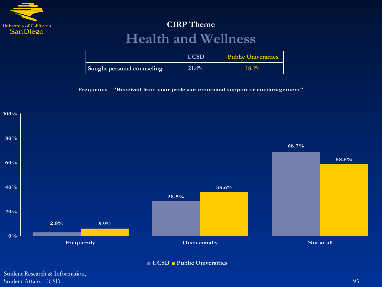

### **CIRP Theme Health and Wellness**

|                            | UCSD  | <b>Public Universities</b> |
|----------------------------|-------|----------------------------|
| Sought personal counseling | 21.4% | $18.1\%$                   |

**Frequency - "Received from your professor emotional support or encouragement"**